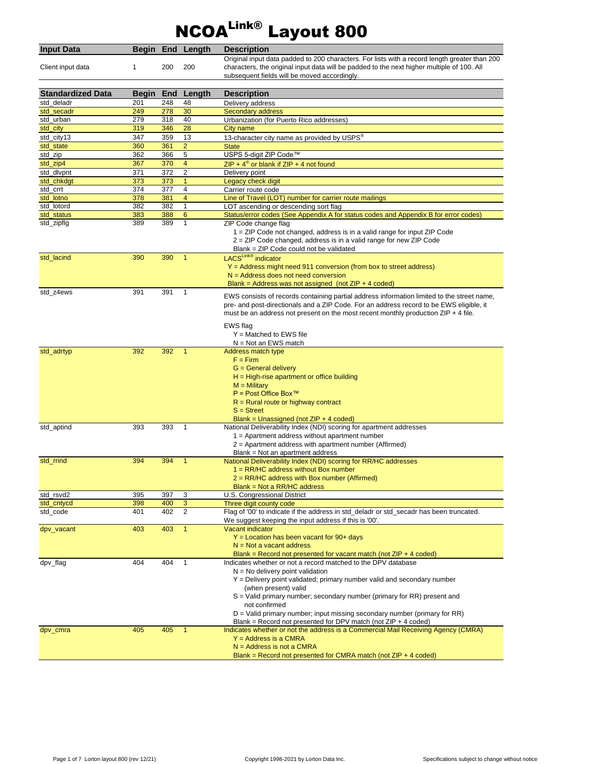## NCOALink® Layout 800

| <b>Input Data</b>        |            |            | Begin End Length        | <b>Description</b><br>Original input data padded to 200 characters. For lists with a record length greater than 200 |
|--------------------------|------------|------------|-------------------------|---------------------------------------------------------------------------------------------------------------------|
| Client input data        | 1          | 200        | 200                     | characters, the original input data will be padded to the next higher multiple of 100. All                          |
|                          |            |            |                         | subsequent fields will be moved accordingly.                                                                        |
| <b>Standardized Data</b> | Begin      |            |                         |                                                                                                                     |
| std deladr               | 201        | End<br>248 | Length<br>48            | <b>Description</b><br>Delivery address                                                                              |
| std_secadr               | 249        | 278        | 30                      | Secondary address                                                                                                   |
| std_urban                | 279        | 318        | 40                      | Urbanization (for Puerto Rico addresses)                                                                            |
| std_city                 | 319        | 346        | 28                      | City name                                                                                                           |
| std_city13               | 347        | 359        | 13                      | 13-character city name as provided by USPS®                                                                         |
| std state                | 360        | 361        | $\overline{2}$          | <b>State</b>                                                                                                        |
| std_zip                  | 362        | 366        | 5                       | USPS 5-digit ZIP Code™                                                                                              |
| std_zip4                 | 367        | 370        | $\overline{\mathbf{4}}$ | ZIP + $4^{\circ}$ or blank if ZIP + 4 not found                                                                     |
| std_dlvpnt               | 371        | 372        | 2                       | Delivery point                                                                                                      |
| std_chkdgt               | 373        | 373        | 1                       | Legacy check digit                                                                                                  |
| std_crrt                 | 374        | 377        | 4                       | Carrier route code                                                                                                  |
| std_lotno                | 378        | 381        | 4                       | Line of Travel (LOT) number for carrier route mailings                                                              |
| std_lotord               | 382        | 382        | $\mathbf{1}$            | LOT ascending or descending sort flag                                                                               |
| std_status               | 383        | 388        | 6                       | Status/error codes (See Appendix A for status codes and Appendix B for error codes)                                 |
| std_zipflg               | 389        | 389        | $\mathbf{1}$            | ZIP Code change flag                                                                                                |
|                          |            |            |                         | 1 = ZIP Code not changed, address is in a valid range for input ZIP Code                                            |
|                          |            |            |                         | 2 = ZIP Code changed, address is in a valid range for new ZIP Code                                                  |
|                          |            |            |                         | Blank = ZIP Code could not be validated                                                                             |
| std lacind               | 390        | 390        | $\mathbf{1}$            | LACSLink® indicator                                                                                                 |
|                          |            |            |                         | $Y =$ Address might need 911 conversion (from box to street address)                                                |
|                          |            |            |                         | $N =$ Address does not need conversion                                                                              |
|                          |            |            | 1                       | Blank = Address was not assigned (not $ZIP + 4$ coded)                                                              |
| std_z4ews                | 391        | 391        |                         | EWS consists of records containing partial address information limited to the street name,                          |
|                          |            |            |                         | pre- and post-directionals and a ZIP Code. For an address record to be EWS eligible, it                             |
|                          |            |            |                         | must be an address not present on the most recent monthly production $ZIP + 4$ file.                                |
|                          |            |            |                         | EWS flag                                                                                                            |
|                          |            |            |                         | $Y =$ Matched to EWS file                                                                                           |
|                          |            |            |                         | $N = Not$ an EWS match                                                                                              |
| std_adrtyp               | 392        | 392        | $\mathbf{1}$            | Address match type                                                                                                  |
|                          |            |            |                         | $F = Firm$                                                                                                          |
|                          |            |            |                         | $G =$ General delivery                                                                                              |
|                          |            |            |                         | $H = High\text{-}rise$ apartment or office building                                                                 |
|                          |            |            |                         | $M =$ Military                                                                                                      |
|                          |            |            |                         | $P = Post$ Office Box™                                                                                              |
|                          |            |            |                         | $R =$ Rural route or highway contract                                                                               |
|                          |            |            |                         | $S =$ Street                                                                                                        |
|                          |            |            |                         | Blank = Unassigned (not $ZIP + 4$ coded)                                                                            |
| std_aptind               | 393        | 393        | $\mathbf{1}$            | National Deliverability Index (NDI) scoring for apartment addresses                                                 |
|                          |            |            |                         | $1 =$ Apartment address without apartment number                                                                    |
|                          |            |            |                         | 2 = Apartment address with apartment number (Affirmed)                                                              |
|                          |            |            |                         | Blank = Not an apartment address                                                                                    |
| std_rrind                | 394        | 394        | $\mathbf{1}$            | National Deliverability Index (NDI) scoring for RR/HC addresses                                                     |
|                          |            |            |                         | $1 = RR/HC$ address without Box number                                                                              |
|                          |            |            |                         | $2 = RR/HC$ address with Box number (Affirmed)                                                                      |
|                          |            |            |                         | $Blank = Not a RR/HC$ address                                                                                       |
| std_rsvd2                | 395        | 397        | 3                       | U.S. Congressional District                                                                                         |
| std_cntycd               | 398<br>401 | 400<br>402 | 3<br>2                  | Three digit county code<br>Flag of '00' to indicate if the address in std deladr or std secadr has been truncated.  |
| std_code                 |            |            |                         |                                                                                                                     |
|                          | 403        | 403        | $\mathbf{1}$            | We suggest keeping the input address if this is '00'.<br><b>Vacant indicator</b>                                    |
| dpv_vacant               |            |            |                         | $Y =$ Location has been vacant for 90+ days                                                                         |
|                          |            |            |                         | $N = Not$ a vacant address                                                                                          |
|                          |            |            |                         | Blank = Record not presented for vacant match (not $ZIP + 4$ coded)                                                 |
| dpv_flag                 | 404        | 404        | $\mathbf{1}$            | Indicates whether or not a record matched to the DPV database                                                       |
|                          |            |            |                         | $N = No$ delivery point validation                                                                                  |
|                          |            |            |                         | $Y =$ Delivery point validated; primary number valid and secondary number                                           |
|                          |            |            |                         | (when present) valid                                                                                                |
|                          |            |            |                         | $S =$ Valid primary number; secondary number (primary for RR) present and                                           |
|                          |            |            |                         | not confirmed                                                                                                       |
|                          |            |            |                         | $D =$ Valid primary number; input missing secondary number (primary for RR)                                         |
|                          |            |            |                         | Blank = Record not presented for DPV match (not $ZIP + 4$ coded)                                                    |
| dpv_cmra                 | 405        | 405        | $\mathbf{1}$            | Indicates whether or not the address is a Commercial Mail Receiving Agency (CMRA)                                   |
|                          |            |            |                         | $Y =$ Address is a CMRA                                                                                             |
|                          |            |            |                         | $N =$ Address is not a CMRA                                                                                         |
|                          |            |            |                         | Blank = Record not presented for CMRA match (not $ZIP + 4$ coded)                                                   |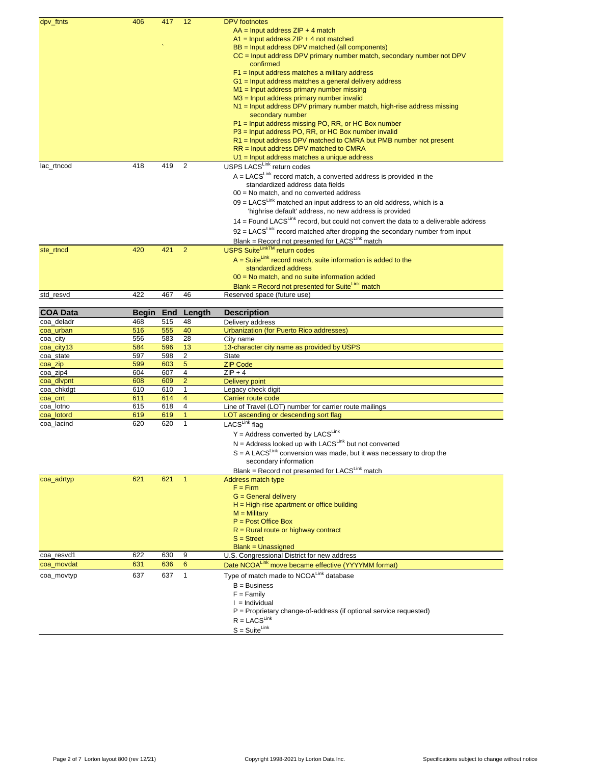| dpv_ftnts       | 406   | 417 | 12             | <b>DPV</b> footnotes                                                                              |
|-----------------|-------|-----|----------------|---------------------------------------------------------------------------------------------------|
|                 |       |     |                | $AA =$ Input address $ZIP + 4$ match                                                              |
|                 |       |     |                | $A1$ = Input address ZIP + 4 not matched                                                          |
|                 |       |     |                | BB = Input address DPV matched (all components)                                                   |
|                 |       |     |                | CC = Input address DPV primary number match, secondary number not DPV                             |
|                 |       |     |                | confirmed                                                                                         |
|                 |       |     |                | $F1$ = Input address matches a military address                                                   |
|                 |       |     |                | G1 = Input address matches a general delivery address                                             |
|                 |       |     |                | $M1$ = Input address primary number missing                                                       |
|                 |       |     |                | $M3$ = Input address primary number invalid                                                       |
|                 |       |     |                | N1 = Input address DPV primary number match, high-rise address missing                            |
|                 |       |     |                | secondary number                                                                                  |
|                 |       |     |                |                                                                                                   |
|                 |       |     |                | P1 = Input address missing PO, RR, or HC Box number                                               |
|                 |       |     |                | P3 = Input address PO, RR, or HC Box number invalid                                               |
|                 |       |     |                | R1 = Input address DPV matched to CMRA but PMB number not present                                 |
|                 |       |     |                | $RR =$ Input address DPV matched to CMRA                                                          |
|                 |       |     |                | $U1$ = Input address matches a unique address                                                     |
| lac_rtncod      | 418   | 419 | 2              | USPS LACSLink return codes                                                                        |
|                 |       |     |                | $A = LACS^{Link}$ record match, a converted address is provided in the                            |
|                 |       |     |                | standardized address data fields                                                                  |
|                 |       |     |                | 00 = No match, and no converted address                                                           |
|                 |       |     |                | $09 = LACS^{Link}$ matched an input address to an old address, which is a                         |
|                 |       |     |                | 'highrise default' address, no new address is provided                                            |
|                 |       |     |                | $14$ = Found LACS <sup>Link</sup> record, but could not convert the data to a deliverable address |
|                 |       |     |                |                                                                                                   |
|                 |       |     |                | $92 = LACS^{Link}$ record matched after dropping the secondary number from input                  |
|                 |       |     |                | Blank = Record not presented for LACSLink match                                                   |
| ste_rtncd       | 420   | 421 | $\overline{2}$ | <b>USPS Suite<sup>Link™</sup> return codes</b>                                                    |
|                 |       |     |                | $A = Suite^{Link}$ record match, suite information is added to the                                |
|                 |       |     |                | standardized address                                                                              |
|                 |       |     |                | 00 = No match, and no suite information added                                                     |
|                 |       |     |                | Blank = Record not presented for SuiteLink match                                                  |
| std_resvd       | 422   | 467 | 46             | Reserved space (future use)                                                                       |
|                 |       |     |                |                                                                                                   |
| <b>COA Data</b> | Begin | End | Length         | <b>Description</b>                                                                                |
|                 | 468   | 515 | 48             | Delivery address                                                                                  |
|                 |       |     |                |                                                                                                   |
| coa deladr      |       |     |                |                                                                                                   |
| coa_urban       | 516   | 555 | 40             | <b>Urbanization (for Puerto Rico addresses)</b>                                                   |
| coa_city        | 556   | 583 | 28             | City name                                                                                         |
| coa_city13      | 584   | 596 | 13             | 13-character city name as provided by USPS                                                        |
| coa_state       | 597   | 598 | 2              | <b>State</b>                                                                                      |
| coa_zip         | 599   | 603 | 5              | <b>ZIP Code</b>                                                                                   |
| coa_zip4        | 604   | 607 | 4              | $ZIP + 4$                                                                                         |
| coa_dlvpnt      | 608   | 609 | $\overline{2}$ | <b>Delivery point</b>                                                                             |
| coa_chkdgt      | 610   | 610 | $\mathbf{1}$   | Legacy check digit                                                                                |
| coa_crrt        | 611   | 614 | 4              | Carrier route code                                                                                |
| coa lotno       | 615   | 618 | $\overline{4}$ | Line of Travel (LOT) number for carrier route mailings                                            |
| coa_lotord      | 619   | 619 | $\mathbf{1}$   | LOT ascending or descending sort flag                                                             |
| coa_lacind      | 620   | 620 | $\mathbf{1}$   | LACSLink flag                                                                                     |
|                 |       |     |                | $Y =$ Address converted by LACSLink                                                               |
|                 |       |     |                | $N =$ Address looked up with LACS <sup>Link</sup> but not converted                               |
|                 |       |     |                | $S = A$ LACS <sup>Link</sup> conversion was made, but it was necessary to drop the                |
|                 |       |     |                |                                                                                                   |
|                 |       |     |                | secondary information                                                                             |
|                 |       |     | $\mathbf{1}$   | Blank = Record not presented for LACSLink match                                                   |
| coa_adrtyp      | 621   | 621 |                | <b>Address match type</b>                                                                         |
|                 |       |     |                | $F = Firm$                                                                                        |
|                 |       |     |                | G = General delivery                                                                              |
|                 |       |     |                | $H = High\text{-}rise$ apartment or office building                                               |
|                 |       |     |                | $M =$ Military                                                                                    |
|                 |       |     |                | $P = Post$ Office Box                                                                             |
|                 |       |     |                | $R =$ Rural route or highway contract                                                             |
|                 |       |     |                | $S =$ Street                                                                                      |
|                 |       |     |                | <b>Blank = Unassigned</b>                                                                         |
| coa_resvd1      | 622   | 630 | 9              | U.S. Congressional District for new address                                                       |
| coa_movdat      | 631   | 636 | 6              | Date NCOALink move became effective (YYYYMM format)                                               |
| coa_movtyp      | 637   | 637 | $\mathbf{1}$   | Type of match made to NCOALink database                                                           |
|                 |       |     |                | $B = Business$                                                                                    |
|                 |       |     |                | $F = Family$                                                                                      |
|                 |       |     |                | $l =$ Individual                                                                                  |
|                 |       |     |                | $P =$ Proprietary change-of-address (if optional service requested)                               |
|                 |       |     |                | $R = LACS^{Link}$                                                                                 |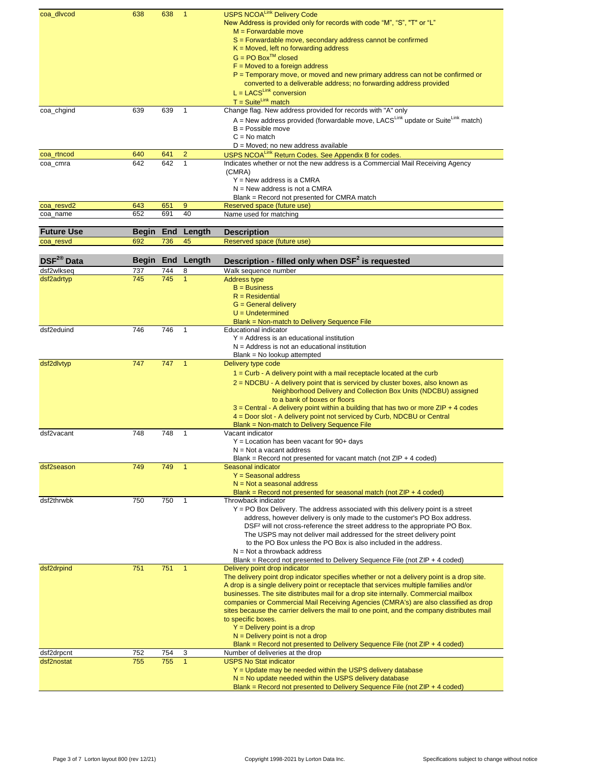| coa_dlvcod             | 638   | 638 | $\mathbf{1}$   | <b>USPS NCOALink Delivery Code</b><br>New Address is provided only for records with code "M", "S", "T" or "L"<br>$M =$ Forwardable move<br>S = Forwardable move, secondary address cannot be confirmed |
|------------------------|-------|-----|----------------|--------------------------------------------------------------------------------------------------------------------------------------------------------------------------------------------------------|
|                        |       |     |                | $K = Moved$ , left no forwarding address<br>$G = PO$ Box <sup>TM</sup> closed<br>$F =$ Moved to a foreign address                                                                                      |
|                        |       |     |                | P = Temporary move, or moved and new primary address can not be confirmed or<br>converted to a deliverable address; no forwarding address provided<br>$L = LACS^{Link}$ conversion                     |
| coa_chgind             | 639   | 639 | 1              | $T = Suite^{Link} match$<br>Change flag. New address provided for records with "A" only                                                                                                                |
|                        |       |     |                | A = New address provided (forwardable move, LACS <sup>Link</sup> update or Suite <sup>Link</sup> match)                                                                                                |
|                        |       |     |                | $B =$ Possible move                                                                                                                                                                                    |
|                        |       |     |                | $C = No$ match                                                                                                                                                                                         |
| coa_rtncod             | 640   | 641 | $\overline{2}$ | $D = Moved$ ; no new address available<br>USPS NCOALink Return Codes. See Appendix B for codes.                                                                                                        |
| coa_cmra               | 642   | 642 | $\mathbf{1}$   | Indicates whether or not the new address is a Commercial Mail Receiving Agency                                                                                                                         |
|                        |       |     |                | (CMRA)<br>$Y = New$ address is a CMRA<br>$N =$ New address is not a CMRA                                                                                                                               |
|                        |       |     |                | Blank = Record not presented for CMRA match                                                                                                                                                            |
| coa_resvd2             | 643   | 651 | $9\,$          | Reserved space (future use)                                                                                                                                                                            |
| coa_name               | 652   | 691 | 40             | Name used for matching                                                                                                                                                                                 |
| <b>Future Use</b>      | Begin | End | Length         | <b>Description</b>                                                                                                                                                                                     |
| coa_resvd              | 692   | 736 | 45             | Reserved space (future use)                                                                                                                                                                            |
|                        |       |     |                |                                                                                                                                                                                                        |
| DSF <sup>2®</sup> Data | Begin |     | End Length     | Description - filled only when DSF <sup>2</sup> is requested                                                                                                                                           |
| dsf2wlkseq             | 737   | 744 | 8              | Walk sequence number                                                                                                                                                                                   |
| dsf2adrtyp             | 745   | 745 | $\mathbf{1}$   | <b>Address type</b>                                                                                                                                                                                    |
|                        |       |     |                | $B = Business$<br>$R = Residential$                                                                                                                                                                    |
|                        |       |     |                | $G =$ General delivery                                                                                                                                                                                 |
|                        |       |     |                | $U =$ Undetermined                                                                                                                                                                                     |
|                        |       |     |                | Blank = Non-match to Delivery Sequence File                                                                                                                                                            |
| dsf2eduind             | 746   | 746 | 1              | <b>Educational indicator</b><br>$Y =$ Address is an educational institution                                                                                                                            |
|                        |       |     |                | $N =$ Address is not an educational institution                                                                                                                                                        |
|                        |       |     |                | Blank = No lookup attempted                                                                                                                                                                            |
| dsf2dlvtyp             | 747   | 747 | $\overline{1}$ | Delivery type code                                                                                                                                                                                     |
|                        |       |     |                | $1 =$ Curb - A delivery point with a mail receptacle located at the curb                                                                                                                               |
|                        |       |     |                | 2 = NDCBU - A delivery point that is serviced by cluster boxes, also known as<br>Neighborhood Delivery and Collection Box Units (NDCBU) assigned                                                       |
|                        |       |     |                | to a bank of boxes or floors                                                                                                                                                                           |
|                        |       |     |                | $3$ = Central - A delivery point within a building that has two or more ZIP + 4 codes                                                                                                                  |
|                        |       |     |                | 4 = Door slot - A delivery point not serviced by Curb, NDCBU or Central<br>Blank = Non-match to Delivery Sequence File                                                                                 |
| dsf2vacant             | 748   | 748 | $\mathbf{1}$   | Vacant indicator                                                                                                                                                                                       |
|                        |       |     |                | $Y =$ Location has been vacant for 90+ days                                                                                                                                                            |
|                        |       |     |                | $N = Not$ a vacant address                                                                                                                                                                             |
| dsf2season             | 749   | 749 | $\mathbf{1}$   | Blank = Record not presented for vacant match (not $ZIP + 4$ coded)<br>Seasonal indicator                                                                                                              |
|                        |       |     |                | $Y =$ Seasonal address                                                                                                                                                                                 |
|                        |       |     |                | $N = Not$ a seasonal address                                                                                                                                                                           |
| dsf2thrwbk             | 750   | 750 | $\mathbf{1}$   | Blank = Record not presented for seasonal match (not $ZIP + 4$ coded)<br>Throwback indicator                                                                                                           |
|                        |       |     |                | Y = PO Box Delivery. The address associated with this delivery point is a street                                                                                                                       |
|                        |       |     |                | address, however delivery is only made to the customer's PO Box address.                                                                                                                               |
|                        |       |     |                | DSF <sup>2</sup> will not cross-reference the street address to the appropriate PO Box.<br>The USPS may not deliver mail addressed for the street delivery point                                       |
|                        |       |     |                | to the PO Box unless the PO Box is also included in the address.                                                                                                                                       |
|                        |       |     |                | $N = Not$ a throwback address                                                                                                                                                                          |
|                        |       |     |                | Blank = Record not presented to Delivery Sequence File (not ZIP + 4 coded)                                                                                                                             |
| dsf2drpind             | 751   | 751 | $\mathbf{1}$   | Delivery point drop indicator<br>The delivery point drop indicator specifies whether or not a delivery point is a drop site.                                                                           |
|                        |       |     |                | A drop is a single delivery point or receptacle that services multiple families and/or                                                                                                                 |
|                        |       |     |                | businesses. The site distributes mail for a drop site internally. Commercial mailbox                                                                                                                   |
|                        |       |     |                | companies or Commercial Mail Receiving Agencies (CMRA's) are also classified as drop                                                                                                                   |
|                        |       |     |                | sites because the carrier delivers the mail to one point, and the company distributes mail<br>to specific boxes.                                                                                       |
|                        |       |     |                | $Y =$ Delivery point is a drop                                                                                                                                                                         |
|                        |       |     |                | $N =$ Delivery point is not a drop                                                                                                                                                                     |
| dsf2drpcnt             | 752   | 754 | 3              | Blank = Record not presented to Delivery Sequence File (not ZIP + 4 coded)<br>Number of deliveries at the drop                                                                                         |
| dsf2nostat             | 755   | 755 | $\overline{1}$ | <b>USPS No Stat indicator</b>                                                                                                                                                                          |
|                        |       |     |                | Y = Update may be needed within the USPS delivery database                                                                                                                                             |
|                        |       |     |                | $N = No$ update needed within the USPS delivery database                                                                                                                                               |
|                        |       |     |                | Blank = Record not presented to Delivery Sequence File (not ZIP + 4 coded)                                                                                                                             |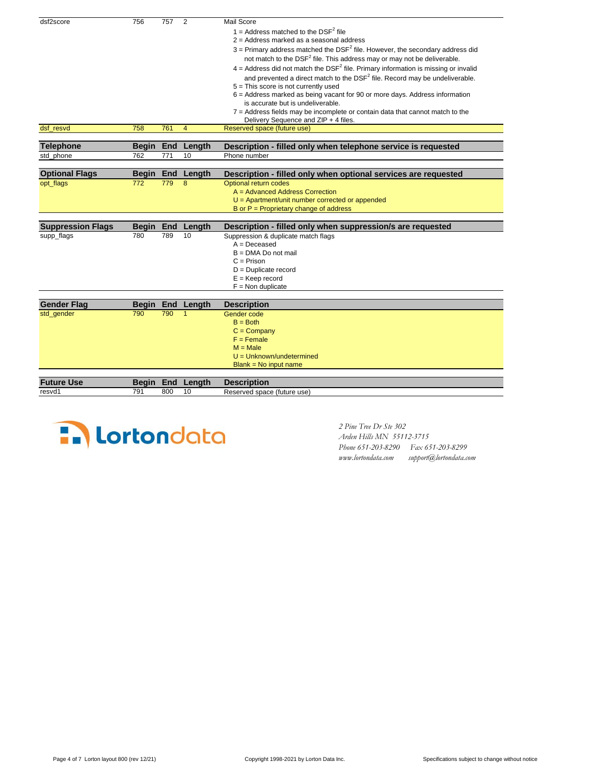| dsf2score                | 756          | 757 | 2            | Mail Score                                                                                       |
|--------------------------|--------------|-----|--------------|--------------------------------------------------------------------------------------------------|
|                          |              |     |              | 1 = Address matched to the $DSF^2$ file                                                          |
|                          |              |     |              | $2$ = Address marked as a seasonal address                                                       |
|                          |              |     |              | $3$ = Primary address matched the DSF <sup>2</sup> file. However, the secondary address did      |
|                          |              |     |              | not match to the DSF <sup>2</sup> file. This address may or may not be deliverable.              |
|                          |              |     |              | $4 =$ Address did not match the DSF <sup>2</sup> file. Primary information is missing or invalid |
|                          |              |     |              | and prevented a direct match to the DSF <sup>2</sup> file. Record may be undeliverable.          |
|                          |              |     |              | 5 = This score is not currently used                                                             |
|                          |              |     |              | 6 = Address marked as being vacant for 90 or more days. Address information                      |
|                          |              |     |              | is accurate but is undeliverable.                                                                |
|                          |              |     |              | 7 = Address fields may be incomplete or contain data that cannot match to the                    |
|                          |              |     |              | Delivery Sequence and ZIP + 4 files.                                                             |
| dsf resvd                | 758          | 761 | 4            | Reserved space (future use)                                                                      |
|                          |              |     |              |                                                                                                  |
| <b>Telephone</b>         | <b>Begin</b> |     | End Length   | Description - filled only when telephone service is requested                                    |
| std_phone                | 762          | 771 | 10           | Phone number                                                                                     |
|                          |              |     |              |                                                                                                  |
| <b>Optional Flags</b>    | <b>Begin</b> |     | End Length   | Description - filled only when optional services are requested                                   |
| opt_flags                | 772          | 779 | 8            | Optional return codes                                                                            |
|                          |              |     |              | A = Advanced Address Correction                                                                  |
|                          |              |     |              | $U =$ Apartment/unit number corrected or appended                                                |
|                          |              |     |              | B or $P =$ Proprietary change of address                                                         |
| <b>Suppression Flags</b> | Beain        | End | Length       | Description - filled only when suppression/s are requested                                       |
| supp_flags               | 780          | 789 | 10           | Suppression & duplicate match flags                                                              |
|                          |              |     |              | $A = Deceased$                                                                                   |
|                          |              |     |              | $B = DMA Do$ not mail                                                                            |
|                          |              |     |              | $C = Prison$                                                                                     |
|                          |              |     |              | $D =$ Duplicate record                                                                           |
|                          |              |     |              | $E = Keep record$                                                                                |
|                          |              |     |              | $F =$ Non duplicate                                                                              |
|                          |              |     |              |                                                                                                  |
| <b>Gender Flag</b>       | <b>Begin</b> |     | End Length   | <b>Description</b>                                                                               |
| std gender               | 790          | 790 | $\mathbf{1}$ | Gender code                                                                                      |
|                          |              |     |              | $B = Both$                                                                                       |
|                          |              |     |              | $C = Company$                                                                                    |
|                          |              |     |              | $F =$ Female                                                                                     |
|                          |              |     |              | $M = Male$                                                                                       |
|                          |              |     |              | $U = Unknown/undetermined$                                                                       |
|                          |              |     |              | $Blank = No$ input name                                                                          |
|                          |              |     |              |                                                                                                  |
| <b>Future Use</b>        | <b>Begin</b> | End | Length       | <b>Description</b>                                                                               |
| resvd1                   | 791          | 800 | 10           | Reserved space (future use)                                                                      |



 *Arden Hills MN 55112-3715 Phone 651-203-8290 Fax 651-203-8299 www.lortondata.com support@lortondata.com*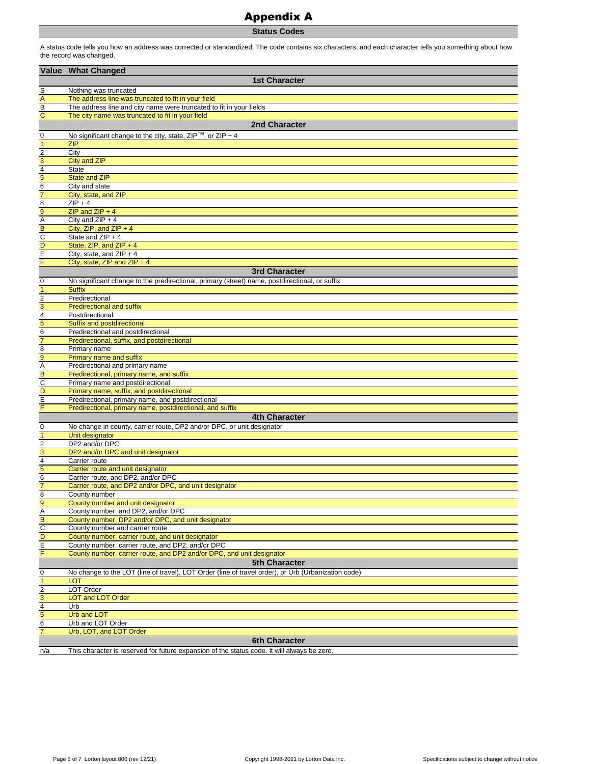## Appendix A

**Status Codes**

A status code tells you how an address was corrected or standardized. The code contains six characters, and each character tells you something about how the record was changed.

|                               | Value What Changed                                                                                     |
|-------------------------------|--------------------------------------------------------------------------------------------------------|
|                               | <b>1st Character</b>                                                                                   |
| $\overline{\mathbf{s}}$       | Nothing was truncated                                                                                  |
| $\overline{A}$                | The address line was truncated to fit in your field                                                    |
| $\overline{B}$                | The address line and city name were truncated to fit in your fields                                    |
| $\overline{c}$                | The city name was truncated to fit in your field                                                       |
|                               | 2nd Character                                                                                          |
| 0                             | No significant change to the city, state, $ZIP^{TM}$ , or $ZIP + 4$                                    |
| $\overline{1}$                | <b>ZIP</b>                                                                                             |
| $\overline{2}$                | City                                                                                                   |
| $\overline{3}$                | City and ZIP                                                                                           |
| $\frac{4}{5}$                 | <b>State</b>                                                                                           |
| $\overline{6}$                | <b>State and ZIP</b><br>City and state                                                                 |
| $\overline{7}$                | City, state, and ZIP                                                                                   |
| $\overline{8}$                | $ZIP + 4$                                                                                              |
| 9                             | $ZIP$ and $ZIP + 4$                                                                                    |
|                               | City and $ZIP + 4$                                                                                     |
| A<br>B<br>C<br>D<br>E         | City, ZIP, and ZIP + $4$                                                                               |
|                               | State and ZIP + 4                                                                                      |
|                               | State, ZIP, and ZIP + 4                                                                                |
| F                             | City, state, and $ZIP + 4$<br>City, state, ZIP and ZIP + 4                                             |
|                               | <b>3rd Character</b>                                                                                   |
|                               | No significant change to the predirectional, primary (street) name, postdirectional, or suffix         |
| $\mathbf 0$<br>$\overline{1}$ | <b>Suffix</b>                                                                                          |
|                               | Predirectional                                                                                         |
| $\frac{2}{3}$                 | <b>Predirectional and suffix</b>                                                                       |
|                               | Postdirectional                                                                                        |
| $\frac{4}{5}$                 | Suffix and postdirectional                                                                             |
|                               | Predirectional and postdirectional                                                                     |
| $\overline{7}$                | Predirectional, suffix, and postdirectional                                                            |
| $\frac{8}{9}$                 | Primary name                                                                                           |
|                               | Primary name and suffix                                                                                |
| $\frac{A}{C}$                 | Predirectional and primary name<br>Predirectional, primary name, and suffix                            |
|                               | Primary name and postdirectional                                                                       |
| D                             | Primary name, suffix, and postdirectional                                                              |
| $\overline{E}$                | Predirectional, primary name, and postdirectional                                                      |
| $\overline{F}$                | Predirectional, primary name, postdirectional, and suffix                                              |
|                               | 4th Character                                                                                          |
| 0                             | No change in county, carrier route, DP2 and/or DPC, or unit designator                                 |
| $\mathbf{1}$                  | Unit designator                                                                                        |
| $\overline{c}$                | DP2 and/or DPC                                                                                         |
| $\overline{3}$                | DP2 and/or DPC and unit designator                                                                     |
| $\overline{4}$<br>5           | Carrier route<br>Carrier route and unit designator                                                     |
| $\overline{6}$                | Carrier route, and DP2, and/or DPC                                                                     |
| $\overline{7}$                | Carrier route, and DP2 and/or DPC, and unit designator                                                 |
| $\overline{8}$                | County number                                                                                          |
| 9                             | County number and unit designator                                                                      |
| $\overline{A}$                | County number, and DP2, and/or DPC                                                                     |
| $\overline{B}$                | County number, DP2 and/or DPC, and unit designator                                                     |
| $\overline{c}$                | County number and carrier route                                                                        |
| $\overline{D}$                | County number, carrier route, and unit designator<br>County number, carrier route, and DP2, and/or DPC |
| Ξ<br>F                        | County number, carrier route, and DP2 and/or DPC, and unit designator                                  |
|                               | <b>5th Character</b>                                                                                   |
| $\mathbf 0$                   | No change to the LOT (line of travel), LOT Order (line of travel order), or Urb (Urbanization code)    |
| $\mathbf{1}$                  | <b>LOT</b>                                                                                             |
| $\sqrt{2}$                    | LOT Order                                                                                              |
| 3                             | <b>LOT and LOT Order</b>                                                                               |
| $\overline{4}$                | Urb                                                                                                    |
| 5                             | <b>Urb and LOT</b>                                                                                     |
| 6                             | Urb and LOT Order                                                                                      |
| $\overline{7}$                | Urb, LOT, and LOT Order                                                                                |
|                               | <b>6th Character</b>                                                                                   |
| n/a                           | This character is reserved for future expansion of the status code. It will always be zero.            |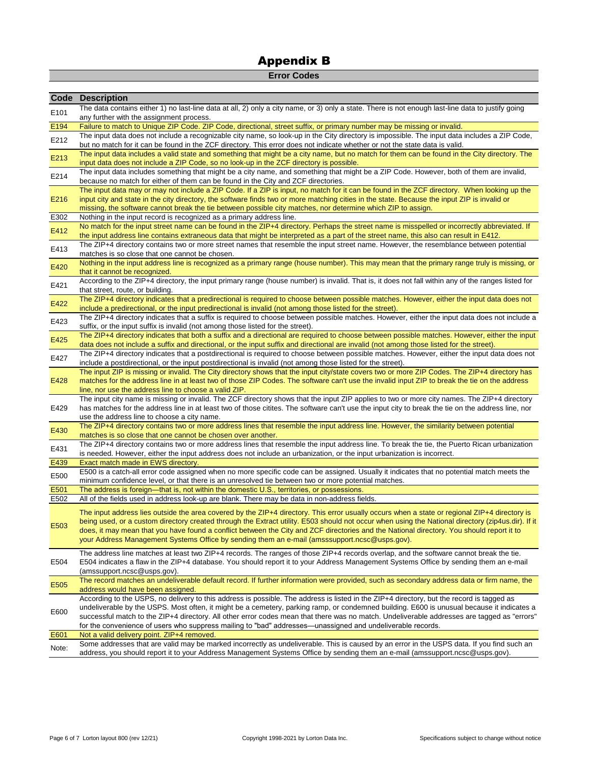## **Error Codes**

| The data contains either 1) no last-line data at all, 2) only a city name, or 3) only a state. There is not enough last-line data to justify going<br>E101<br>any further with the assignment process.<br>Failure to match to Unique ZIP Code. ZIP Code, directional, street suffix, or primary number may be missing or invalid.<br>E194<br>The input data does not include a recognizable city name, so look-up in the City directory is impossible. The input data includes a ZIP Code,<br>E212<br>but no match for it can be found in the ZCF directory. This error does not indicate whether or not the state data is valid.<br>The input data includes a valid state and something that might be a city name, but no match for them can be found in the City directory. The<br>E213<br>input data does not include a ZIP Code, so no look-up in the ZCF directory is possible.<br>The input data includes something that might be a city name, and something that might be a ZIP Code. However, both of them are invalid,<br>E214<br>because no match for either of them can be found in the City and ZCF directories.<br>The input data may or may not include a ZIP Code. If a ZIP is input, no match for it can be found in the ZCF directory. When looking up the<br>E216<br>input city and state in the city directory, the software finds two or more matching cities in the state. Because the input ZIP is invalid or<br>missing, the software cannot break the tie between possible city matches, nor determine which ZIP to assign.<br>E302<br>Nothing in the input record is recognized as a primary address line.<br>No match for the input street name can be found in the ZIP+4 directory. Perhaps the street name is misspelled or incorrectly abbreviated. If<br>E412<br>the input address line contains extraneous data that might be interpreted as a part of the street name, this also can result in E412.<br>The ZIP+4 directory contains two or more street names that resemble the input street name. However, the resemblance between potential<br>E413<br>matches is so close that one cannot be chosen.<br>Nothing in the input address line is recognized as a primary range (house number). This may mean that the primary range truly is missing, or<br>E420<br>that it cannot be recognized.<br>According to the ZIP+4 directory, the input primary range (house number) is invalid. That is, it does not fall within any of the ranges listed for<br>E421<br>that street, route, or building.<br>The ZIP+4 directory indicates that a predirectional is required to choose between possible matches. However, either the input data does not<br>E422<br>include a predirectional, or the input predirectional is invalid (not among those listed for the street).<br>The ZIP+4 directory indicates that a suffix is required to choose between possible matches. However, either the input data does not include a<br>E423<br>suffix, or the input suffix is invalid (not among those listed for the street).<br>The ZIP+4 directory indicates that both a suffix and a directional are required to choose between possible matches. However, either the input<br>E425<br>data does not include a suffix and directional, or the input suffix and directional are invalid (not among those listed for the street).<br>The ZIP+4 directory indicates that a postdirectional is required to choose between possible matches. However, either the input data does not<br>E427<br>include a postdirectional, or the input postdirectional is invalid (not among those listed for the street).<br>The input ZIP is missing or invalid. The City directory shows that the input city/state covers two or more ZIP Codes. The ZIP+4 directory has<br>E428<br>matches for the address line in at least two of those ZIP Codes. The software can't use the invalid input ZIP to break the tie on the address<br>line, nor use the address line to choose a valid ZIP.<br>The input city name is missing or invalid. The ZCF directory shows that the input ZIP applies to two or more city names. The ZIP+4 directory<br>E429<br>has matches for the address line in at least two of those citites. The software can't use the input city to break the tie on the address line, nor<br>use the address line to choose a city name.<br>The ZIP+4 directory contains two or more address lines that resemble the input address line. However, the similarity between potential<br>E430<br>matches is so close that one cannot be chosen over another.<br>The ZIP+4 directory contains two or more address lines that resemble the input address line. To break the tie, the Puerto Rican urbanization<br>E431<br>is needed. However, either the input address does not include an urbanization, or the input urbanization is incorrect.<br>E439<br>Exact match made in EWS directory.<br>E500 is a catch-all error code assigned when no more specific code can be assigned. Usually it indicates that no potential match meets the<br>E500<br>minimum confidence level, or that there is an unresolved tie between two or more potential matches.<br>E501<br>The address is foreign—that is, not within the domestic U.S., territories, or possessions.<br>E502<br>All of the fields used in address look-up are blank. There may be data in non-address fields.<br>The input address lies outside the area covered by the ZIP+4 directory. This error usually occurs when a state or regional ZIP+4 directory is<br>being used, or a custom directory created through the Extract utility. E503 should not occur when using the National directory (zip4us.dir). If it<br>E503<br>does, it may mean that you have found a conflict between the City and ZCF directories and the National directory. You should report it to<br>your Address Management Systems Office by sending them an e-mail (amsssupport.ncsc@usps.gov).<br>The address line matches at least two ZIP+4 records. The ranges of those ZIP+4 records overlap, and the software cannot break the tie.<br>E504<br>E504 indicates a flaw in the ZIP+4 database. You should report it to your Address Management Systems Office by sending them an e-mail<br>(amssupport.ncsc@usps.gov).<br>The record matches an undeliverable default record. If further information were provided, such as secondary address data or firm name, the<br>E505<br>address would have been assigned.<br>According to the USPS, no delivery to this address is possible. The address is listed in the ZIP+4 directory, but the record is tagged as<br>undeliverable by the USPS. Most often, it might be a cemetery, parking ramp, or condemned building. E600 is unusual because it indicates a<br>E600<br>successful match to the ZIP+4 directory. All other error codes mean that there was no match. Undeliverable addresses are tagged as "errors"<br>for the convenience of users who suppress mailing to "bad" addresses—unassigned and undeliverable records.<br>E601<br>Not a valid delivery point. ZIP+4 removed.<br>Some addresses that are valid may be marked incorrectly as undeliverable. This is caused by an error in the USPS data. If you find such an<br>Note:<br>address, you should report it to your Address Management Systems Office by sending them an e-mail (amssupport.ncsc@usps.gov). | <b>Code Description</b> |
|---------------------------------------------------------------------------------------------------------------------------------------------------------------------------------------------------------------------------------------------------------------------------------------------------------------------------------------------------------------------------------------------------------------------------------------------------------------------------------------------------------------------------------------------------------------------------------------------------------------------------------------------------------------------------------------------------------------------------------------------------------------------------------------------------------------------------------------------------------------------------------------------------------------------------------------------------------------------------------------------------------------------------------------------------------------------------------------------------------------------------------------------------------------------------------------------------------------------------------------------------------------------------------------------------------------------------------------------------------------------------------------------------------------------------------------------------------------------------------------------------------------------------------------------------------------------------------------------------------------------------------------------------------------------------------------------------------------------------------------------------------------------------------------------------------------------------------------------------------------------------------------------------------------------------------------------------------------------------------------------------------------------------------------------------------------------------------------------------------------------------------------------------------------------------------------------------------------------------------------------------------------------------------------------------------------------------------------------------------------------------------------------------------------------------------------------------------------------------------------------------------------------------------------------------------------------------------------------------------------------------------------------------------------------------------------------------------------------------------------------------------------------------------------------------------------------------------------------------------------------------------------------------------------------------------------------------------------------------------------------------------------------------------------------------------------------------------------------------------------------------------------------------------------------------------------------------------------------------------------------------------------------------------------------------------------------------------------------------------------------------------------------------------------------------------------------------------------------------------------------------------------------------------------------------------------------------------------------------------------------------------------------------------------------------------------------------------------------------------------------------------------------------------------------------------------------------------------------------------------------------------------------------------------------------------------------------------------------------------------------------------------------------------------------------------------------------------------------------------------------------------------------------------------------------------------------------------------------------------------------------------------------------------------------------------------------------------------------------------------------------------------------------------------------------------------------------------------------------------------------------------------------------------------------------------------------------------------------------------------------------------------------------------------------------------------------------------------------------------------------------------------------------------------------------------------------------------------------------------------------------------------------------------------------------------------------------------------------------------------------------------------------------------------------------------------------------------------------------------------------------------------------------------------------------------------------------------------------------------------------------------------------------------------------------------------------------------------------------------------------------------------------------------------------------------------------------------------------------------------------------------------------------------------------------------------------------------------------------------------------------------------------------------------------------------------------------------------------------------------------------------------------------------------------------------------------------------------------------------------------------------------------------------------------------------------------------------------------------------------------------------------------------------------------------------------------------------------------------------------------------------------------------------------------------------------------------------------------------------------------------------------------------------------------------------------------------------------------------------------------------------------------------------------------------------------------------------------------------------------------------------------------------------------------------------------------------------------------------------------------------------------------------------------------------------------------------------------------------------------------------------------------------------------------------------------------------------------------------------------------------------------------------------------------------------------------------------------------------------------------------------------------------------------------------------------------------------------------------------------------------------------------------------------------------------------------------------------------------------------------------------------------------------------------------------------------------------------------------------------------------------------------|-------------------------|
|                                                                                                                                                                                                                                                                                                                                                                                                                                                                                                                                                                                                                                                                                                                                                                                                                                                                                                                                                                                                                                                                                                                                                                                                                                                                                                                                                                                                                                                                                                                                                                                                                                                                                                                                                                                                                                                                                                                                                                                                                                                                                                                                                                                                                                                                                                                                                                                                                                                                                                                                                                                                                                                                                                                                                                                                                                                                                                                                                                                                                                                                                                                                                                                                                                                                                                                                                                                                                                                                                                                                                                                                                                                                                                                                                                                                                                                                                                                                                                                                                                                                                                                                                                                                                                                                                                                                                                                                                                                                                                                                                                                                                                                                                                                                                                                                                                                                                                                                                                                                                                                                                                                                                                                                                                                                                                                                                                                                                                                                                                                                                                                                                                                                                                                                                                                                                                                                                                                                                                                                                                                                                                                                                                                                                                                                                                                                                                                                                                                                                                                                                                                                                                                                                                                                                                                                                                                                                                                                                                                                                                                                                                                                                                                                                                                                                                                                                                                             |                         |
|                                                                                                                                                                                                                                                                                                                                                                                                                                                                                                                                                                                                                                                                                                                                                                                                                                                                                                                                                                                                                                                                                                                                                                                                                                                                                                                                                                                                                                                                                                                                                                                                                                                                                                                                                                                                                                                                                                                                                                                                                                                                                                                                                                                                                                                                                                                                                                                                                                                                                                                                                                                                                                                                                                                                                                                                                                                                                                                                                                                                                                                                                                                                                                                                                                                                                                                                                                                                                                                                                                                                                                                                                                                                                                                                                                                                                                                                                                                                                                                                                                                                                                                                                                                                                                                                                                                                                                                                                                                                                                                                                                                                                                                                                                                                                                                                                                                                                                                                                                                                                                                                                                                                                                                                                                                                                                                                                                                                                                                                                                                                                                                                                                                                                                                                                                                                                                                                                                                                                                                                                                                                                                                                                                                                                                                                                                                                                                                                                                                                                                                                                                                                                                                                                                                                                                                                                                                                                                                                                                                                                                                                                                                                                                                                                                                                                                                                                                                             |                         |
|                                                                                                                                                                                                                                                                                                                                                                                                                                                                                                                                                                                                                                                                                                                                                                                                                                                                                                                                                                                                                                                                                                                                                                                                                                                                                                                                                                                                                                                                                                                                                                                                                                                                                                                                                                                                                                                                                                                                                                                                                                                                                                                                                                                                                                                                                                                                                                                                                                                                                                                                                                                                                                                                                                                                                                                                                                                                                                                                                                                                                                                                                                                                                                                                                                                                                                                                                                                                                                                                                                                                                                                                                                                                                                                                                                                                                                                                                                                                                                                                                                                                                                                                                                                                                                                                                                                                                                                                                                                                                                                                                                                                                                                                                                                                                                                                                                                                                                                                                                                                                                                                                                                                                                                                                                                                                                                                                                                                                                                                                                                                                                                                                                                                                                                                                                                                                                                                                                                                                                                                                                                                                                                                                                                                                                                                                                                                                                                                                                                                                                                                                                                                                                                                                                                                                                                                                                                                                                                                                                                                                                                                                                                                                                                                                                                                                                                                                                                             |                         |
|                                                                                                                                                                                                                                                                                                                                                                                                                                                                                                                                                                                                                                                                                                                                                                                                                                                                                                                                                                                                                                                                                                                                                                                                                                                                                                                                                                                                                                                                                                                                                                                                                                                                                                                                                                                                                                                                                                                                                                                                                                                                                                                                                                                                                                                                                                                                                                                                                                                                                                                                                                                                                                                                                                                                                                                                                                                                                                                                                                                                                                                                                                                                                                                                                                                                                                                                                                                                                                                                                                                                                                                                                                                                                                                                                                                                                                                                                                                                                                                                                                                                                                                                                                                                                                                                                                                                                                                                                                                                                                                                                                                                                                                                                                                                                                                                                                                                                                                                                                                                                                                                                                                                                                                                                                                                                                                                                                                                                                                                                                                                                                                                                                                                                                                                                                                                                                                                                                                                                                                                                                                                                                                                                                                                                                                                                                                                                                                                                                                                                                                                                                                                                                                                                                                                                                                                                                                                                                                                                                                                                                                                                                                                                                                                                                                                                                                                                                                             |                         |
|                                                                                                                                                                                                                                                                                                                                                                                                                                                                                                                                                                                                                                                                                                                                                                                                                                                                                                                                                                                                                                                                                                                                                                                                                                                                                                                                                                                                                                                                                                                                                                                                                                                                                                                                                                                                                                                                                                                                                                                                                                                                                                                                                                                                                                                                                                                                                                                                                                                                                                                                                                                                                                                                                                                                                                                                                                                                                                                                                                                                                                                                                                                                                                                                                                                                                                                                                                                                                                                                                                                                                                                                                                                                                                                                                                                                                                                                                                                                                                                                                                                                                                                                                                                                                                                                                                                                                                                                                                                                                                                                                                                                                                                                                                                                                                                                                                                                                                                                                                                                                                                                                                                                                                                                                                                                                                                                                                                                                                                                                                                                                                                                                                                                                                                                                                                                                                                                                                                                                                                                                                                                                                                                                                                                                                                                                                                                                                                                                                                                                                                                                                                                                                                                                                                                                                                                                                                                                                                                                                                                                                                                                                                                                                                                                                                                                                                                                                                             |                         |
|                                                                                                                                                                                                                                                                                                                                                                                                                                                                                                                                                                                                                                                                                                                                                                                                                                                                                                                                                                                                                                                                                                                                                                                                                                                                                                                                                                                                                                                                                                                                                                                                                                                                                                                                                                                                                                                                                                                                                                                                                                                                                                                                                                                                                                                                                                                                                                                                                                                                                                                                                                                                                                                                                                                                                                                                                                                                                                                                                                                                                                                                                                                                                                                                                                                                                                                                                                                                                                                                                                                                                                                                                                                                                                                                                                                                                                                                                                                                                                                                                                                                                                                                                                                                                                                                                                                                                                                                                                                                                                                                                                                                                                                                                                                                                                                                                                                                                                                                                                                                                                                                                                                                                                                                                                                                                                                                                                                                                                                                                                                                                                                                                                                                                                                                                                                                                                                                                                                                                                                                                                                                                                                                                                                                                                                                                                                                                                                                                                                                                                                                                                                                                                                                                                                                                                                                                                                                                                                                                                                                                                                                                                                                                                                                                                                                                                                                                                                             |                         |
|                                                                                                                                                                                                                                                                                                                                                                                                                                                                                                                                                                                                                                                                                                                                                                                                                                                                                                                                                                                                                                                                                                                                                                                                                                                                                                                                                                                                                                                                                                                                                                                                                                                                                                                                                                                                                                                                                                                                                                                                                                                                                                                                                                                                                                                                                                                                                                                                                                                                                                                                                                                                                                                                                                                                                                                                                                                                                                                                                                                                                                                                                                                                                                                                                                                                                                                                                                                                                                                                                                                                                                                                                                                                                                                                                                                                                                                                                                                                                                                                                                                                                                                                                                                                                                                                                                                                                                                                                                                                                                                                                                                                                                                                                                                                                                                                                                                                                                                                                                                                                                                                                                                                                                                                                                                                                                                                                                                                                                                                                                                                                                                                                                                                                                                                                                                                                                                                                                                                                                                                                                                                                                                                                                                                                                                                                                                                                                                                                                                                                                                                                                                                                                                                                                                                                                                                                                                                                                                                                                                                                                                                                                                                                                                                                                                                                                                                                                                             |                         |
|                                                                                                                                                                                                                                                                                                                                                                                                                                                                                                                                                                                                                                                                                                                                                                                                                                                                                                                                                                                                                                                                                                                                                                                                                                                                                                                                                                                                                                                                                                                                                                                                                                                                                                                                                                                                                                                                                                                                                                                                                                                                                                                                                                                                                                                                                                                                                                                                                                                                                                                                                                                                                                                                                                                                                                                                                                                                                                                                                                                                                                                                                                                                                                                                                                                                                                                                                                                                                                                                                                                                                                                                                                                                                                                                                                                                                                                                                                                                                                                                                                                                                                                                                                                                                                                                                                                                                                                                                                                                                                                                                                                                                                                                                                                                                                                                                                                                                                                                                                                                                                                                                                                                                                                                                                                                                                                                                                                                                                                                                                                                                                                                                                                                                                                                                                                                                                                                                                                                                                                                                                                                                                                                                                                                                                                                                                                                                                                                                                                                                                                                                                                                                                                                                                                                                                                                                                                                                                                                                                                                                                                                                                                                                                                                                                                                                                                                                                                             |                         |
|                                                                                                                                                                                                                                                                                                                                                                                                                                                                                                                                                                                                                                                                                                                                                                                                                                                                                                                                                                                                                                                                                                                                                                                                                                                                                                                                                                                                                                                                                                                                                                                                                                                                                                                                                                                                                                                                                                                                                                                                                                                                                                                                                                                                                                                                                                                                                                                                                                                                                                                                                                                                                                                                                                                                                                                                                                                                                                                                                                                                                                                                                                                                                                                                                                                                                                                                                                                                                                                                                                                                                                                                                                                                                                                                                                                                                                                                                                                                                                                                                                                                                                                                                                                                                                                                                                                                                                                                                                                                                                                                                                                                                                                                                                                                                                                                                                                                                                                                                                                                                                                                                                                                                                                                                                                                                                                                                                                                                                                                                                                                                                                                                                                                                                                                                                                                                                                                                                                                                                                                                                                                                                                                                                                                                                                                                                                                                                                                                                                                                                                                                                                                                                                                                                                                                                                                                                                                                                                                                                                                                                                                                                                                                                                                                                                                                                                                                                                             |                         |
|                                                                                                                                                                                                                                                                                                                                                                                                                                                                                                                                                                                                                                                                                                                                                                                                                                                                                                                                                                                                                                                                                                                                                                                                                                                                                                                                                                                                                                                                                                                                                                                                                                                                                                                                                                                                                                                                                                                                                                                                                                                                                                                                                                                                                                                                                                                                                                                                                                                                                                                                                                                                                                                                                                                                                                                                                                                                                                                                                                                                                                                                                                                                                                                                                                                                                                                                                                                                                                                                                                                                                                                                                                                                                                                                                                                                                                                                                                                                                                                                                                                                                                                                                                                                                                                                                                                                                                                                                                                                                                                                                                                                                                                                                                                                                                                                                                                                                                                                                                                                                                                                                                                                                                                                                                                                                                                                                                                                                                                                                                                                                                                                                                                                                                                                                                                                                                                                                                                                                                                                                                                                                                                                                                                                                                                                                                                                                                                                                                                                                                                                                                                                                                                                                                                                                                                                                                                                                                                                                                                                                                                                                                                                                                                                                                                                                                                                                                                             |                         |
|                                                                                                                                                                                                                                                                                                                                                                                                                                                                                                                                                                                                                                                                                                                                                                                                                                                                                                                                                                                                                                                                                                                                                                                                                                                                                                                                                                                                                                                                                                                                                                                                                                                                                                                                                                                                                                                                                                                                                                                                                                                                                                                                                                                                                                                                                                                                                                                                                                                                                                                                                                                                                                                                                                                                                                                                                                                                                                                                                                                                                                                                                                                                                                                                                                                                                                                                                                                                                                                                                                                                                                                                                                                                                                                                                                                                                                                                                                                                                                                                                                                                                                                                                                                                                                                                                                                                                                                                                                                                                                                                                                                                                                                                                                                                                                                                                                                                                                                                                                                                                                                                                                                                                                                                                                                                                                                                                                                                                                                                                                                                                                                                                                                                                                                                                                                                                                                                                                                                                                                                                                                                                                                                                                                                                                                                                                                                                                                                                                                                                                                                                                                                                                                                                                                                                                                                                                                                                                                                                                                                                                                                                                                                                                                                                                                                                                                                                                                             |                         |
|                                                                                                                                                                                                                                                                                                                                                                                                                                                                                                                                                                                                                                                                                                                                                                                                                                                                                                                                                                                                                                                                                                                                                                                                                                                                                                                                                                                                                                                                                                                                                                                                                                                                                                                                                                                                                                                                                                                                                                                                                                                                                                                                                                                                                                                                                                                                                                                                                                                                                                                                                                                                                                                                                                                                                                                                                                                                                                                                                                                                                                                                                                                                                                                                                                                                                                                                                                                                                                                                                                                                                                                                                                                                                                                                                                                                                                                                                                                                                                                                                                                                                                                                                                                                                                                                                                                                                                                                                                                                                                                                                                                                                                                                                                                                                                                                                                                                                                                                                                                                                                                                                                                                                                                                                                                                                                                                                                                                                                                                                                                                                                                                                                                                                                                                                                                                                                                                                                                                                                                                                                                                                                                                                                                                                                                                                                                                                                                                                                                                                                                                                                                                                                                                                                                                                                                                                                                                                                                                                                                                                                                                                                                                                                                                                                                                                                                                                                                             |                         |
|                                                                                                                                                                                                                                                                                                                                                                                                                                                                                                                                                                                                                                                                                                                                                                                                                                                                                                                                                                                                                                                                                                                                                                                                                                                                                                                                                                                                                                                                                                                                                                                                                                                                                                                                                                                                                                                                                                                                                                                                                                                                                                                                                                                                                                                                                                                                                                                                                                                                                                                                                                                                                                                                                                                                                                                                                                                                                                                                                                                                                                                                                                                                                                                                                                                                                                                                                                                                                                                                                                                                                                                                                                                                                                                                                                                                                                                                                                                                                                                                                                                                                                                                                                                                                                                                                                                                                                                                                                                                                                                                                                                                                                                                                                                                                                                                                                                                                                                                                                                                                                                                                                                                                                                                                                                                                                                                                                                                                                                                                                                                                                                                                                                                                                                                                                                                                                                                                                                                                                                                                                                                                                                                                                                                                                                                                                                                                                                                                                                                                                                                                                                                                                                                                                                                                                                                                                                                                                                                                                                                                                                                                                                                                                                                                                                                                                                                                                                             |                         |
|                                                                                                                                                                                                                                                                                                                                                                                                                                                                                                                                                                                                                                                                                                                                                                                                                                                                                                                                                                                                                                                                                                                                                                                                                                                                                                                                                                                                                                                                                                                                                                                                                                                                                                                                                                                                                                                                                                                                                                                                                                                                                                                                                                                                                                                                                                                                                                                                                                                                                                                                                                                                                                                                                                                                                                                                                                                                                                                                                                                                                                                                                                                                                                                                                                                                                                                                                                                                                                                                                                                                                                                                                                                                                                                                                                                                                                                                                                                                                                                                                                                                                                                                                                                                                                                                                                                                                                                                                                                                                                                                                                                                                                                                                                                                                                                                                                                                                                                                                                                                                                                                                                                                                                                                                                                                                                                                                                                                                                                                                                                                                                                                                                                                                                                                                                                                                                                                                                                                                                                                                                                                                                                                                                                                                                                                                                                                                                                                                                                                                                                                                                                                                                                                                                                                                                                                                                                                                                                                                                                                                                                                                                                                                                                                                                                                                                                                                                                             |                         |
|                                                                                                                                                                                                                                                                                                                                                                                                                                                                                                                                                                                                                                                                                                                                                                                                                                                                                                                                                                                                                                                                                                                                                                                                                                                                                                                                                                                                                                                                                                                                                                                                                                                                                                                                                                                                                                                                                                                                                                                                                                                                                                                                                                                                                                                                                                                                                                                                                                                                                                                                                                                                                                                                                                                                                                                                                                                                                                                                                                                                                                                                                                                                                                                                                                                                                                                                                                                                                                                                                                                                                                                                                                                                                                                                                                                                                                                                                                                                                                                                                                                                                                                                                                                                                                                                                                                                                                                                                                                                                                                                                                                                                                                                                                                                                                                                                                                                                                                                                                                                                                                                                                                                                                                                                                                                                                                                                                                                                                                                                                                                                                                                                                                                                                                                                                                                                                                                                                                                                                                                                                                                                                                                                                                                                                                                                                                                                                                                                                                                                                                                                                                                                                                                                                                                                                                                                                                                                                                                                                                                                                                                                                                                                                                                                                                                                                                                                                                             |                         |
|                                                                                                                                                                                                                                                                                                                                                                                                                                                                                                                                                                                                                                                                                                                                                                                                                                                                                                                                                                                                                                                                                                                                                                                                                                                                                                                                                                                                                                                                                                                                                                                                                                                                                                                                                                                                                                                                                                                                                                                                                                                                                                                                                                                                                                                                                                                                                                                                                                                                                                                                                                                                                                                                                                                                                                                                                                                                                                                                                                                                                                                                                                                                                                                                                                                                                                                                                                                                                                                                                                                                                                                                                                                                                                                                                                                                                                                                                                                                                                                                                                                                                                                                                                                                                                                                                                                                                                                                                                                                                                                                                                                                                                                                                                                                                                                                                                                                                                                                                                                                                                                                                                                                                                                                                                                                                                                                                                                                                                                                                                                                                                                                                                                                                                                                                                                                                                                                                                                                                                                                                                                                                                                                                                                                                                                                                                                                                                                                                                                                                                                                                                                                                                                                                                                                                                                                                                                                                                                                                                                                                                                                                                                                                                                                                                                                                                                                                                                             |                         |
|                                                                                                                                                                                                                                                                                                                                                                                                                                                                                                                                                                                                                                                                                                                                                                                                                                                                                                                                                                                                                                                                                                                                                                                                                                                                                                                                                                                                                                                                                                                                                                                                                                                                                                                                                                                                                                                                                                                                                                                                                                                                                                                                                                                                                                                                                                                                                                                                                                                                                                                                                                                                                                                                                                                                                                                                                                                                                                                                                                                                                                                                                                                                                                                                                                                                                                                                                                                                                                                                                                                                                                                                                                                                                                                                                                                                                                                                                                                                                                                                                                                                                                                                                                                                                                                                                                                                                                                                                                                                                                                                                                                                                                                                                                                                                                                                                                                                                                                                                                                                                                                                                                                                                                                                                                                                                                                                                                                                                                                                                                                                                                                                                                                                                                                                                                                                                                                                                                                                                                                                                                                                                                                                                                                                                                                                                                                                                                                                                                                                                                                                                                                                                                                                                                                                                                                                                                                                                                                                                                                                                                                                                                                                                                                                                                                                                                                                                                                             |                         |
|                                                                                                                                                                                                                                                                                                                                                                                                                                                                                                                                                                                                                                                                                                                                                                                                                                                                                                                                                                                                                                                                                                                                                                                                                                                                                                                                                                                                                                                                                                                                                                                                                                                                                                                                                                                                                                                                                                                                                                                                                                                                                                                                                                                                                                                                                                                                                                                                                                                                                                                                                                                                                                                                                                                                                                                                                                                                                                                                                                                                                                                                                                                                                                                                                                                                                                                                                                                                                                                                                                                                                                                                                                                                                                                                                                                                                                                                                                                                                                                                                                                                                                                                                                                                                                                                                                                                                                                                                                                                                                                                                                                                                                                                                                                                                                                                                                                                                                                                                                                                                                                                                                                                                                                                                                                                                                                                                                                                                                                                                                                                                                                                                                                                                                                                                                                                                                                                                                                                                                                                                                                                                                                                                                                                                                                                                                                                                                                                                                                                                                                                                                                                                                                                                                                                                                                                                                                                                                                                                                                                                                                                                                                                                                                                                                                                                                                                                                                             |                         |
|                                                                                                                                                                                                                                                                                                                                                                                                                                                                                                                                                                                                                                                                                                                                                                                                                                                                                                                                                                                                                                                                                                                                                                                                                                                                                                                                                                                                                                                                                                                                                                                                                                                                                                                                                                                                                                                                                                                                                                                                                                                                                                                                                                                                                                                                                                                                                                                                                                                                                                                                                                                                                                                                                                                                                                                                                                                                                                                                                                                                                                                                                                                                                                                                                                                                                                                                                                                                                                                                                                                                                                                                                                                                                                                                                                                                                                                                                                                                                                                                                                                                                                                                                                                                                                                                                                                                                                                                                                                                                                                                                                                                                                                                                                                                                                                                                                                                                                                                                                                                                                                                                                                                                                                                                                                                                                                                                                                                                                                                                                                                                                                                                                                                                                                                                                                                                                                                                                                                                                                                                                                                                                                                                                                                                                                                                                                                                                                                                                                                                                                                                                                                                                                                                                                                                                                                                                                                                                                                                                                                                                                                                                                                                                                                                                                                                                                                                                                             |                         |
|                                                                                                                                                                                                                                                                                                                                                                                                                                                                                                                                                                                                                                                                                                                                                                                                                                                                                                                                                                                                                                                                                                                                                                                                                                                                                                                                                                                                                                                                                                                                                                                                                                                                                                                                                                                                                                                                                                                                                                                                                                                                                                                                                                                                                                                                                                                                                                                                                                                                                                                                                                                                                                                                                                                                                                                                                                                                                                                                                                                                                                                                                                                                                                                                                                                                                                                                                                                                                                                                                                                                                                                                                                                                                                                                                                                                                                                                                                                                                                                                                                                                                                                                                                                                                                                                                                                                                                                                                                                                                                                                                                                                                                                                                                                                                                                                                                                                                                                                                                                                                                                                                                                                                                                                                                                                                                                                                                                                                                                                                                                                                                                                                                                                                                                                                                                                                                                                                                                                                                                                                                                                                                                                                                                                                                                                                                                                                                                                                                                                                                                                                                                                                                                                                                                                                                                                                                                                                                                                                                                                                                                                                                                                                                                                                                                                                                                                                                                             |                         |
|                                                                                                                                                                                                                                                                                                                                                                                                                                                                                                                                                                                                                                                                                                                                                                                                                                                                                                                                                                                                                                                                                                                                                                                                                                                                                                                                                                                                                                                                                                                                                                                                                                                                                                                                                                                                                                                                                                                                                                                                                                                                                                                                                                                                                                                                                                                                                                                                                                                                                                                                                                                                                                                                                                                                                                                                                                                                                                                                                                                                                                                                                                                                                                                                                                                                                                                                                                                                                                                                                                                                                                                                                                                                                                                                                                                                                                                                                                                                                                                                                                                                                                                                                                                                                                                                                                                                                                                                                                                                                                                                                                                                                                                                                                                                                                                                                                                                                                                                                                                                                                                                                                                                                                                                                                                                                                                                                                                                                                                                                                                                                                                                                                                                                                                                                                                                                                                                                                                                                                                                                                                                                                                                                                                                                                                                                                                                                                                                                                                                                                                                                                                                                                                                                                                                                                                                                                                                                                                                                                                                                                                                                                                                                                                                                                                                                                                                                                                             |                         |
|                                                                                                                                                                                                                                                                                                                                                                                                                                                                                                                                                                                                                                                                                                                                                                                                                                                                                                                                                                                                                                                                                                                                                                                                                                                                                                                                                                                                                                                                                                                                                                                                                                                                                                                                                                                                                                                                                                                                                                                                                                                                                                                                                                                                                                                                                                                                                                                                                                                                                                                                                                                                                                                                                                                                                                                                                                                                                                                                                                                                                                                                                                                                                                                                                                                                                                                                                                                                                                                                                                                                                                                                                                                                                                                                                                                                                                                                                                                                                                                                                                                                                                                                                                                                                                                                                                                                                                                                                                                                                                                                                                                                                                                                                                                                                                                                                                                                                                                                                                                                                                                                                                                                                                                                                                                                                                                                                                                                                                                                                                                                                                                                                                                                                                                                                                                                                                                                                                                                                                                                                                                                                                                                                                                                                                                                                                                                                                                                                                                                                                                                                                                                                                                                                                                                                                                                                                                                                                                                                                                                                                                                                                                                                                                                                                                                                                                                                                                             |                         |
|                                                                                                                                                                                                                                                                                                                                                                                                                                                                                                                                                                                                                                                                                                                                                                                                                                                                                                                                                                                                                                                                                                                                                                                                                                                                                                                                                                                                                                                                                                                                                                                                                                                                                                                                                                                                                                                                                                                                                                                                                                                                                                                                                                                                                                                                                                                                                                                                                                                                                                                                                                                                                                                                                                                                                                                                                                                                                                                                                                                                                                                                                                                                                                                                                                                                                                                                                                                                                                                                                                                                                                                                                                                                                                                                                                                                                                                                                                                                                                                                                                                                                                                                                                                                                                                                                                                                                                                                                                                                                                                                                                                                                                                                                                                                                                                                                                                                                                                                                                                                                                                                                                                                                                                                                                                                                                                                                                                                                                                                                                                                                                                                                                                                                                                                                                                                                                                                                                                                                                                                                                                                                                                                                                                                                                                                                                                                                                                                                                                                                                                                                                                                                                                                                                                                                                                                                                                                                                                                                                                                                                                                                                                                                                                                                                                                                                                                                                                             |                         |
|                                                                                                                                                                                                                                                                                                                                                                                                                                                                                                                                                                                                                                                                                                                                                                                                                                                                                                                                                                                                                                                                                                                                                                                                                                                                                                                                                                                                                                                                                                                                                                                                                                                                                                                                                                                                                                                                                                                                                                                                                                                                                                                                                                                                                                                                                                                                                                                                                                                                                                                                                                                                                                                                                                                                                                                                                                                                                                                                                                                                                                                                                                                                                                                                                                                                                                                                                                                                                                                                                                                                                                                                                                                                                                                                                                                                                                                                                                                                                                                                                                                                                                                                                                                                                                                                                                                                                                                                                                                                                                                                                                                                                                                                                                                                                                                                                                                                                                                                                                                                                                                                                                                                                                                                                                                                                                                                                                                                                                                                                                                                                                                                                                                                                                                                                                                                                                                                                                                                                                                                                                                                                                                                                                                                                                                                                                                                                                                                                                                                                                                                                                                                                                                                                                                                                                                                                                                                                                                                                                                                                                                                                                                                                                                                                                                                                                                                                                                             |                         |
|                                                                                                                                                                                                                                                                                                                                                                                                                                                                                                                                                                                                                                                                                                                                                                                                                                                                                                                                                                                                                                                                                                                                                                                                                                                                                                                                                                                                                                                                                                                                                                                                                                                                                                                                                                                                                                                                                                                                                                                                                                                                                                                                                                                                                                                                                                                                                                                                                                                                                                                                                                                                                                                                                                                                                                                                                                                                                                                                                                                                                                                                                                                                                                                                                                                                                                                                                                                                                                                                                                                                                                                                                                                                                                                                                                                                                                                                                                                                                                                                                                                                                                                                                                                                                                                                                                                                                                                                                                                                                                                                                                                                                                                                                                                                                                                                                                                                                                                                                                                                                                                                                                                                                                                                                                                                                                                                                                                                                                                                                                                                                                                                                                                                                                                                                                                                                                                                                                                                                                                                                                                                                                                                                                                                                                                                                                                                                                                                                                                                                                                                                                                                                                                                                                                                                                                                                                                                                                                                                                                                                                                                                                                                                                                                                                                                                                                                                                                             |                         |
|                                                                                                                                                                                                                                                                                                                                                                                                                                                                                                                                                                                                                                                                                                                                                                                                                                                                                                                                                                                                                                                                                                                                                                                                                                                                                                                                                                                                                                                                                                                                                                                                                                                                                                                                                                                                                                                                                                                                                                                                                                                                                                                                                                                                                                                                                                                                                                                                                                                                                                                                                                                                                                                                                                                                                                                                                                                                                                                                                                                                                                                                                                                                                                                                                                                                                                                                                                                                                                                                                                                                                                                                                                                                                                                                                                                                                                                                                                                                                                                                                                                                                                                                                                                                                                                                                                                                                                                                                                                                                                                                                                                                                                                                                                                                                                                                                                                                                                                                                                                                                                                                                                                                                                                                                                                                                                                                                                                                                                                                                                                                                                                                                                                                                                                                                                                                                                                                                                                                                                                                                                                                                                                                                                                                                                                                                                                                                                                                                                                                                                                                                                                                                                                                                                                                                                                                                                                                                                                                                                                                                                                                                                                                                                                                                                                                                                                                                                                             |                         |
|                                                                                                                                                                                                                                                                                                                                                                                                                                                                                                                                                                                                                                                                                                                                                                                                                                                                                                                                                                                                                                                                                                                                                                                                                                                                                                                                                                                                                                                                                                                                                                                                                                                                                                                                                                                                                                                                                                                                                                                                                                                                                                                                                                                                                                                                                                                                                                                                                                                                                                                                                                                                                                                                                                                                                                                                                                                                                                                                                                                                                                                                                                                                                                                                                                                                                                                                                                                                                                                                                                                                                                                                                                                                                                                                                                                                                                                                                                                                                                                                                                                                                                                                                                                                                                                                                                                                                                                                                                                                                                                                                                                                                                                                                                                                                                                                                                                                                                                                                                                                                                                                                                                                                                                                                                                                                                                                                                                                                                                                                                                                                                                                                                                                                                                                                                                                                                                                                                                                                                                                                                                                                                                                                                                                                                                                                                                                                                                                                                                                                                                                                                                                                                                                                                                                                                                                                                                                                                                                                                                                                                                                                                                                                                                                                                                                                                                                                                                             |                         |
|                                                                                                                                                                                                                                                                                                                                                                                                                                                                                                                                                                                                                                                                                                                                                                                                                                                                                                                                                                                                                                                                                                                                                                                                                                                                                                                                                                                                                                                                                                                                                                                                                                                                                                                                                                                                                                                                                                                                                                                                                                                                                                                                                                                                                                                                                                                                                                                                                                                                                                                                                                                                                                                                                                                                                                                                                                                                                                                                                                                                                                                                                                                                                                                                                                                                                                                                                                                                                                                                                                                                                                                                                                                                                                                                                                                                                                                                                                                                                                                                                                                                                                                                                                                                                                                                                                                                                                                                                                                                                                                                                                                                                                                                                                                                                                                                                                                                                                                                                                                                                                                                                                                                                                                                                                                                                                                                                                                                                                                                                                                                                                                                                                                                                                                                                                                                                                                                                                                                                                                                                                                                                                                                                                                                                                                                                                                                                                                                                                                                                                                                                                                                                                                                                                                                                                                                                                                                                                                                                                                                                                                                                                                                                                                                                                                                                                                                                                                             |                         |
|                                                                                                                                                                                                                                                                                                                                                                                                                                                                                                                                                                                                                                                                                                                                                                                                                                                                                                                                                                                                                                                                                                                                                                                                                                                                                                                                                                                                                                                                                                                                                                                                                                                                                                                                                                                                                                                                                                                                                                                                                                                                                                                                                                                                                                                                                                                                                                                                                                                                                                                                                                                                                                                                                                                                                                                                                                                                                                                                                                                                                                                                                                                                                                                                                                                                                                                                                                                                                                                                                                                                                                                                                                                                                                                                                                                                                                                                                                                                                                                                                                                                                                                                                                                                                                                                                                                                                                                                                                                                                                                                                                                                                                                                                                                                                                                                                                                                                                                                                                                                                                                                                                                                                                                                                                                                                                                                                                                                                                                                                                                                                                                                                                                                                                                                                                                                                                                                                                                                                                                                                                                                                                                                                                                                                                                                                                                                                                                                                                                                                                                                                                                                                                                                                                                                                                                                                                                                                                                                                                                                                                                                                                                                                                                                                                                                                                                                                                                             |                         |
|                                                                                                                                                                                                                                                                                                                                                                                                                                                                                                                                                                                                                                                                                                                                                                                                                                                                                                                                                                                                                                                                                                                                                                                                                                                                                                                                                                                                                                                                                                                                                                                                                                                                                                                                                                                                                                                                                                                                                                                                                                                                                                                                                                                                                                                                                                                                                                                                                                                                                                                                                                                                                                                                                                                                                                                                                                                                                                                                                                                                                                                                                                                                                                                                                                                                                                                                                                                                                                                                                                                                                                                                                                                                                                                                                                                                                                                                                                                                                                                                                                                                                                                                                                                                                                                                                                                                                                                                                                                                                                                                                                                                                                                                                                                                                                                                                                                                                                                                                                                                                                                                                                                                                                                                                                                                                                                                                                                                                                                                                                                                                                                                                                                                                                                                                                                                                                                                                                                                                                                                                                                                                                                                                                                                                                                                                                                                                                                                                                                                                                                                                                                                                                                                                                                                                                                                                                                                                                                                                                                                                                                                                                                                                                                                                                                                                                                                                                                             |                         |
|                                                                                                                                                                                                                                                                                                                                                                                                                                                                                                                                                                                                                                                                                                                                                                                                                                                                                                                                                                                                                                                                                                                                                                                                                                                                                                                                                                                                                                                                                                                                                                                                                                                                                                                                                                                                                                                                                                                                                                                                                                                                                                                                                                                                                                                                                                                                                                                                                                                                                                                                                                                                                                                                                                                                                                                                                                                                                                                                                                                                                                                                                                                                                                                                                                                                                                                                                                                                                                                                                                                                                                                                                                                                                                                                                                                                                                                                                                                                                                                                                                                                                                                                                                                                                                                                                                                                                                                                                                                                                                                                                                                                                                                                                                                                                                                                                                                                                                                                                                                                                                                                                                                                                                                                                                                                                                                                                                                                                                                                                                                                                                                                                                                                                                                                                                                                                                                                                                                                                                                                                                                                                                                                                                                                                                                                                                                                                                                                                                                                                                                                                                                                                                                                                                                                                                                                                                                                                                                                                                                                                                                                                                                                                                                                                                                                                                                                                                                             |                         |
|                                                                                                                                                                                                                                                                                                                                                                                                                                                                                                                                                                                                                                                                                                                                                                                                                                                                                                                                                                                                                                                                                                                                                                                                                                                                                                                                                                                                                                                                                                                                                                                                                                                                                                                                                                                                                                                                                                                                                                                                                                                                                                                                                                                                                                                                                                                                                                                                                                                                                                                                                                                                                                                                                                                                                                                                                                                                                                                                                                                                                                                                                                                                                                                                                                                                                                                                                                                                                                                                                                                                                                                                                                                                                                                                                                                                                                                                                                                                                                                                                                                                                                                                                                                                                                                                                                                                                                                                                                                                                                                                                                                                                                                                                                                                                                                                                                                                                                                                                                                                                                                                                                                                                                                                                                                                                                                                                                                                                                                                                                                                                                                                                                                                                                                                                                                                                                                                                                                                                                                                                                                                                                                                                                                                                                                                                                                                                                                                                                                                                                                                                                                                                                                                                                                                                                                                                                                                                                                                                                                                                                                                                                                                                                                                                                                                                                                                                                                             |                         |
|                                                                                                                                                                                                                                                                                                                                                                                                                                                                                                                                                                                                                                                                                                                                                                                                                                                                                                                                                                                                                                                                                                                                                                                                                                                                                                                                                                                                                                                                                                                                                                                                                                                                                                                                                                                                                                                                                                                                                                                                                                                                                                                                                                                                                                                                                                                                                                                                                                                                                                                                                                                                                                                                                                                                                                                                                                                                                                                                                                                                                                                                                                                                                                                                                                                                                                                                                                                                                                                                                                                                                                                                                                                                                                                                                                                                                                                                                                                                                                                                                                                                                                                                                                                                                                                                                                                                                                                                                                                                                                                                                                                                                                                                                                                                                                                                                                                                                                                                                                                                                                                                                                                                                                                                                                                                                                                                                                                                                                                                                                                                                                                                                                                                                                                                                                                                                                                                                                                                                                                                                                                                                                                                                                                                                                                                                                                                                                                                                                                                                                                                                                                                                                                                                                                                                                                                                                                                                                                                                                                                                                                                                                                                                                                                                                                                                                                                                                                             |                         |
|                                                                                                                                                                                                                                                                                                                                                                                                                                                                                                                                                                                                                                                                                                                                                                                                                                                                                                                                                                                                                                                                                                                                                                                                                                                                                                                                                                                                                                                                                                                                                                                                                                                                                                                                                                                                                                                                                                                                                                                                                                                                                                                                                                                                                                                                                                                                                                                                                                                                                                                                                                                                                                                                                                                                                                                                                                                                                                                                                                                                                                                                                                                                                                                                                                                                                                                                                                                                                                                                                                                                                                                                                                                                                                                                                                                                                                                                                                                                                                                                                                                                                                                                                                                                                                                                                                                                                                                                                                                                                                                                                                                                                                                                                                                                                                                                                                                                                                                                                                                                                                                                                                                                                                                                                                                                                                                                                                                                                                                                                                                                                                                                                                                                                                                                                                                                                                                                                                                                                                                                                                                                                                                                                                                                                                                                                                                                                                                                                                                                                                                                                                                                                                                                                                                                                                                                                                                                                                                                                                                                                                                                                                                                                                                                                                                                                                                                                                                             |                         |
|                                                                                                                                                                                                                                                                                                                                                                                                                                                                                                                                                                                                                                                                                                                                                                                                                                                                                                                                                                                                                                                                                                                                                                                                                                                                                                                                                                                                                                                                                                                                                                                                                                                                                                                                                                                                                                                                                                                                                                                                                                                                                                                                                                                                                                                                                                                                                                                                                                                                                                                                                                                                                                                                                                                                                                                                                                                                                                                                                                                                                                                                                                                                                                                                                                                                                                                                                                                                                                                                                                                                                                                                                                                                                                                                                                                                                                                                                                                                                                                                                                                                                                                                                                                                                                                                                                                                                                                                                                                                                                                                                                                                                                                                                                                                                                                                                                                                                                                                                                                                                                                                                                                                                                                                                                                                                                                                                                                                                                                                                                                                                                                                                                                                                                                                                                                                                                                                                                                                                                                                                                                                                                                                                                                                                                                                                                                                                                                                                                                                                                                                                                                                                                                                                                                                                                                                                                                                                                                                                                                                                                                                                                                                                                                                                                                                                                                                                                                             |                         |
|                                                                                                                                                                                                                                                                                                                                                                                                                                                                                                                                                                                                                                                                                                                                                                                                                                                                                                                                                                                                                                                                                                                                                                                                                                                                                                                                                                                                                                                                                                                                                                                                                                                                                                                                                                                                                                                                                                                                                                                                                                                                                                                                                                                                                                                                                                                                                                                                                                                                                                                                                                                                                                                                                                                                                                                                                                                                                                                                                                                                                                                                                                                                                                                                                                                                                                                                                                                                                                                                                                                                                                                                                                                                                                                                                                                                                                                                                                                                                                                                                                                                                                                                                                                                                                                                                                                                                                                                                                                                                                                                                                                                                                                                                                                                                                                                                                                                                                                                                                                                                                                                                                                                                                                                                                                                                                                                                                                                                                                                                                                                                                                                                                                                                                                                                                                                                                                                                                                                                                                                                                                                                                                                                                                                                                                                                                                                                                                                                                                                                                                                                                                                                                                                                                                                                                                                                                                                                                                                                                                                                                                                                                                                                                                                                                                                                                                                                                                             |                         |
|                                                                                                                                                                                                                                                                                                                                                                                                                                                                                                                                                                                                                                                                                                                                                                                                                                                                                                                                                                                                                                                                                                                                                                                                                                                                                                                                                                                                                                                                                                                                                                                                                                                                                                                                                                                                                                                                                                                                                                                                                                                                                                                                                                                                                                                                                                                                                                                                                                                                                                                                                                                                                                                                                                                                                                                                                                                                                                                                                                                                                                                                                                                                                                                                                                                                                                                                                                                                                                                                                                                                                                                                                                                                                                                                                                                                                                                                                                                                                                                                                                                                                                                                                                                                                                                                                                                                                                                                                                                                                                                                                                                                                                                                                                                                                                                                                                                                                                                                                                                                                                                                                                                                                                                                                                                                                                                                                                                                                                                                                                                                                                                                                                                                                                                                                                                                                                                                                                                                                                                                                                                                                                                                                                                                                                                                                                                                                                                                                                                                                                                                                                                                                                                                                                                                                                                                                                                                                                                                                                                                                                                                                                                                                                                                                                                                                                                                                                                             |                         |
|                                                                                                                                                                                                                                                                                                                                                                                                                                                                                                                                                                                                                                                                                                                                                                                                                                                                                                                                                                                                                                                                                                                                                                                                                                                                                                                                                                                                                                                                                                                                                                                                                                                                                                                                                                                                                                                                                                                                                                                                                                                                                                                                                                                                                                                                                                                                                                                                                                                                                                                                                                                                                                                                                                                                                                                                                                                                                                                                                                                                                                                                                                                                                                                                                                                                                                                                                                                                                                                                                                                                                                                                                                                                                                                                                                                                                                                                                                                                                                                                                                                                                                                                                                                                                                                                                                                                                                                                                                                                                                                                                                                                                                                                                                                                                                                                                                                                                                                                                                                                                                                                                                                                                                                                                                                                                                                                                                                                                                                                                                                                                                                                                                                                                                                                                                                                                                                                                                                                                                                                                                                                                                                                                                                                                                                                                                                                                                                                                                                                                                                                                                                                                                                                                                                                                                                                                                                                                                                                                                                                                                                                                                                                                                                                                                                                                                                                                                                             |                         |
|                                                                                                                                                                                                                                                                                                                                                                                                                                                                                                                                                                                                                                                                                                                                                                                                                                                                                                                                                                                                                                                                                                                                                                                                                                                                                                                                                                                                                                                                                                                                                                                                                                                                                                                                                                                                                                                                                                                                                                                                                                                                                                                                                                                                                                                                                                                                                                                                                                                                                                                                                                                                                                                                                                                                                                                                                                                                                                                                                                                                                                                                                                                                                                                                                                                                                                                                                                                                                                                                                                                                                                                                                                                                                                                                                                                                                                                                                                                                                                                                                                                                                                                                                                                                                                                                                                                                                                                                                                                                                                                                                                                                                                                                                                                                                                                                                                                                                                                                                                                                                                                                                                                                                                                                                                                                                                                                                                                                                                                                                                                                                                                                                                                                                                                                                                                                                                                                                                                                                                                                                                                                                                                                                                                                                                                                                                                                                                                                                                                                                                                                                                                                                                                                                                                                                                                                                                                                                                                                                                                                                                                                                                                                                                                                                                                                                                                                                                                             |                         |
|                                                                                                                                                                                                                                                                                                                                                                                                                                                                                                                                                                                                                                                                                                                                                                                                                                                                                                                                                                                                                                                                                                                                                                                                                                                                                                                                                                                                                                                                                                                                                                                                                                                                                                                                                                                                                                                                                                                                                                                                                                                                                                                                                                                                                                                                                                                                                                                                                                                                                                                                                                                                                                                                                                                                                                                                                                                                                                                                                                                                                                                                                                                                                                                                                                                                                                                                                                                                                                                                                                                                                                                                                                                                                                                                                                                                                                                                                                                                                                                                                                                                                                                                                                                                                                                                                                                                                                                                                                                                                                                                                                                                                                                                                                                                                                                                                                                                                                                                                                                                                                                                                                                                                                                                                                                                                                                                                                                                                                                                                                                                                                                                                                                                                                                                                                                                                                                                                                                                                                                                                                                                                                                                                                                                                                                                                                                                                                                                                                                                                                                                                                                                                                                                                                                                                                                                                                                                                                                                                                                                                                                                                                                                                                                                                                                                                                                                                                                             |                         |
|                                                                                                                                                                                                                                                                                                                                                                                                                                                                                                                                                                                                                                                                                                                                                                                                                                                                                                                                                                                                                                                                                                                                                                                                                                                                                                                                                                                                                                                                                                                                                                                                                                                                                                                                                                                                                                                                                                                                                                                                                                                                                                                                                                                                                                                                                                                                                                                                                                                                                                                                                                                                                                                                                                                                                                                                                                                                                                                                                                                                                                                                                                                                                                                                                                                                                                                                                                                                                                                                                                                                                                                                                                                                                                                                                                                                                                                                                                                                                                                                                                                                                                                                                                                                                                                                                                                                                                                                                                                                                                                                                                                                                                                                                                                                                                                                                                                                                                                                                                                                                                                                                                                                                                                                                                                                                                                                                                                                                                                                                                                                                                                                                                                                                                                                                                                                                                                                                                                                                                                                                                                                                                                                                                                                                                                                                                                                                                                                                                                                                                                                                                                                                                                                                                                                                                                                                                                                                                                                                                                                                                                                                                                                                                                                                                                                                                                                                                                             |                         |
|                                                                                                                                                                                                                                                                                                                                                                                                                                                                                                                                                                                                                                                                                                                                                                                                                                                                                                                                                                                                                                                                                                                                                                                                                                                                                                                                                                                                                                                                                                                                                                                                                                                                                                                                                                                                                                                                                                                                                                                                                                                                                                                                                                                                                                                                                                                                                                                                                                                                                                                                                                                                                                                                                                                                                                                                                                                                                                                                                                                                                                                                                                                                                                                                                                                                                                                                                                                                                                                                                                                                                                                                                                                                                                                                                                                                                                                                                                                                                                                                                                                                                                                                                                                                                                                                                                                                                                                                                                                                                                                                                                                                                                                                                                                                                                                                                                                                                                                                                                                                                                                                                                                                                                                                                                                                                                                                                                                                                                                                                                                                                                                                                                                                                                                                                                                                                                                                                                                                                                                                                                                                                                                                                                                                                                                                                                                                                                                                                                                                                                                                                                                                                                                                                                                                                                                                                                                                                                                                                                                                                                                                                                                                                                                                                                                                                                                                                                                             |                         |
|                                                                                                                                                                                                                                                                                                                                                                                                                                                                                                                                                                                                                                                                                                                                                                                                                                                                                                                                                                                                                                                                                                                                                                                                                                                                                                                                                                                                                                                                                                                                                                                                                                                                                                                                                                                                                                                                                                                                                                                                                                                                                                                                                                                                                                                                                                                                                                                                                                                                                                                                                                                                                                                                                                                                                                                                                                                                                                                                                                                                                                                                                                                                                                                                                                                                                                                                                                                                                                                                                                                                                                                                                                                                                                                                                                                                                                                                                                                                                                                                                                                                                                                                                                                                                                                                                                                                                                                                                                                                                                                                                                                                                                                                                                                                                                                                                                                                                                                                                                                                                                                                                                                                                                                                                                                                                                                                                                                                                                                                                                                                                                                                                                                                                                                                                                                                                                                                                                                                                                                                                                                                                                                                                                                                                                                                                                                                                                                                                                                                                                                                                                                                                                                                                                                                                                                                                                                                                                                                                                                                                                                                                                                                                                                                                                                                                                                                                                                             |                         |
|                                                                                                                                                                                                                                                                                                                                                                                                                                                                                                                                                                                                                                                                                                                                                                                                                                                                                                                                                                                                                                                                                                                                                                                                                                                                                                                                                                                                                                                                                                                                                                                                                                                                                                                                                                                                                                                                                                                                                                                                                                                                                                                                                                                                                                                                                                                                                                                                                                                                                                                                                                                                                                                                                                                                                                                                                                                                                                                                                                                                                                                                                                                                                                                                                                                                                                                                                                                                                                                                                                                                                                                                                                                                                                                                                                                                                                                                                                                                                                                                                                                                                                                                                                                                                                                                                                                                                                                                                                                                                                                                                                                                                                                                                                                                                                                                                                                                                                                                                                                                                                                                                                                                                                                                                                                                                                                                                                                                                                                                                                                                                                                                                                                                                                                                                                                                                                                                                                                                                                                                                                                                                                                                                                                                                                                                                                                                                                                                                                                                                                                                                                                                                                                                                                                                                                                                                                                                                                                                                                                                                                                                                                                                                                                                                                                                                                                                                                                             |                         |
|                                                                                                                                                                                                                                                                                                                                                                                                                                                                                                                                                                                                                                                                                                                                                                                                                                                                                                                                                                                                                                                                                                                                                                                                                                                                                                                                                                                                                                                                                                                                                                                                                                                                                                                                                                                                                                                                                                                                                                                                                                                                                                                                                                                                                                                                                                                                                                                                                                                                                                                                                                                                                                                                                                                                                                                                                                                                                                                                                                                                                                                                                                                                                                                                                                                                                                                                                                                                                                                                                                                                                                                                                                                                                                                                                                                                                                                                                                                                                                                                                                                                                                                                                                                                                                                                                                                                                                                                                                                                                                                                                                                                                                                                                                                                                                                                                                                                                                                                                                                                                                                                                                                                                                                                                                                                                                                                                                                                                                                                                                                                                                                                                                                                                                                                                                                                                                                                                                                                                                                                                                                                                                                                                                                                                                                                                                                                                                                                                                                                                                                                                                                                                                                                                                                                                                                                                                                                                                                                                                                                                                                                                                                                                                                                                                                                                                                                                                                             |                         |
|                                                                                                                                                                                                                                                                                                                                                                                                                                                                                                                                                                                                                                                                                                                                                                                                                                                                                                                                                                                                                                                                                                                                                                                                                                                                                                                                                                                                                                                                                                                                                                                                                                                                                                                                                                                                                                                                                                                                                                                                                                                                                                                                                                                                                                                                                                                                                                                                                                                                                                                                                                                                                                                                                                                                                                                                                                                                                                                                                                                                                                                                                                                                                                                                                                                                                                                                                                                                                                                                                                                                                                                                                                                                                                                                                                                                                                                                                                                                                                                                                                                                                                                                                                                                                                                                                                                                                                                                                                                                                                                                                                                                                                                                                                                                                                                                                                                                                                                                                                                                                                                                                                                                                                                                                                                                                                                                                                                                                                                                                                                                                                                                                                                                                                                                                                                                                                                                                                                                                                                                                                                                                                                                                                                                                                                                                                                                                                                                                                                                                                                                                                                                                                                                                                                                                                                                                                                                                                                                                                                                                                                                                                                                                                                                                                                                                                                                                                                             |                         |
|                                                                                                                                                                                                                                                                                                                                                                                                                                                                                                                                                                                                                                                                                                                                                                                                                                                                                                                                                                                                                                                                                                                                                                                                                                                                                                                                                                                                                                                                                                                                                                                                                                                                                                                                                                                                                                                                                                                                                                                                                                                                                                                                                                                                                                                                                                                                                                                                                                                                                                                                                                                                                                                                                                                                                                                                                                                                                                                                                                                                                                                                                                                                                                                                                                                                                                                                                                                                                                                                                                                                                                                                                                                                                                                                                                                                                                                                                                                                                                                                                                                                                                                                                                                                                                                                                                                                                                                                                                                                                                                                                                                                                                                                                                                                                                                                                                                                                                                                                                                                                                                                                                                                                                                                                                                                                                                                                                                                                                                                                                                                                                                                                                                                                                                                                                                                                                                                                                                                                                                                                                                                                                                                                                                                                                                                                                                                                                                                                                                                                                                                                                                                                                                                                                                                                                                                                                                                                                                                                                                                                                                                                                                                                                                                                                                                                                                                                                                             |                         |
|                                                                                                                                                                                                                                                                                                                                                                                                                                                                                                                                                                                                                                                                                                                                                                                                                                                                                                                                                                                                                                                                                                                                                                                                                                                                                                                                                                                                                                                                                                                                                                                                                                                                                                                                                                                                                                                                                                                                                                                                                                                                                                                                                                                                                                                                                                                                                                                                                                                                                                                                                                                                                                                                                                                                                                                                                                                                                                                                                                                                                                                                                                                                                                                                                                                                                                                                                                                                                                                                                                                                                                                                                                                                                                                                                                                                                                                                                                                                                                                                                                                                                                                                                                                                                                                                                                                                                                                                                                                                                                                                                                                                                                                                                                                                                                                                                                                                                                                                                                                                                                                                                                                                                                                                                                                                                                                                                                                                                                                                                                                                                                                                                                                                                                                                                                                                                                                                                                                                                                                                                                                                                                                                                                                                                                                                                                                                                                                                                                                                                                                                                                                                                                                                                                                                                                                                                                                                                                                                                                                                                                                                                                                                                                                                                                                                                                                                                                                             |                         |